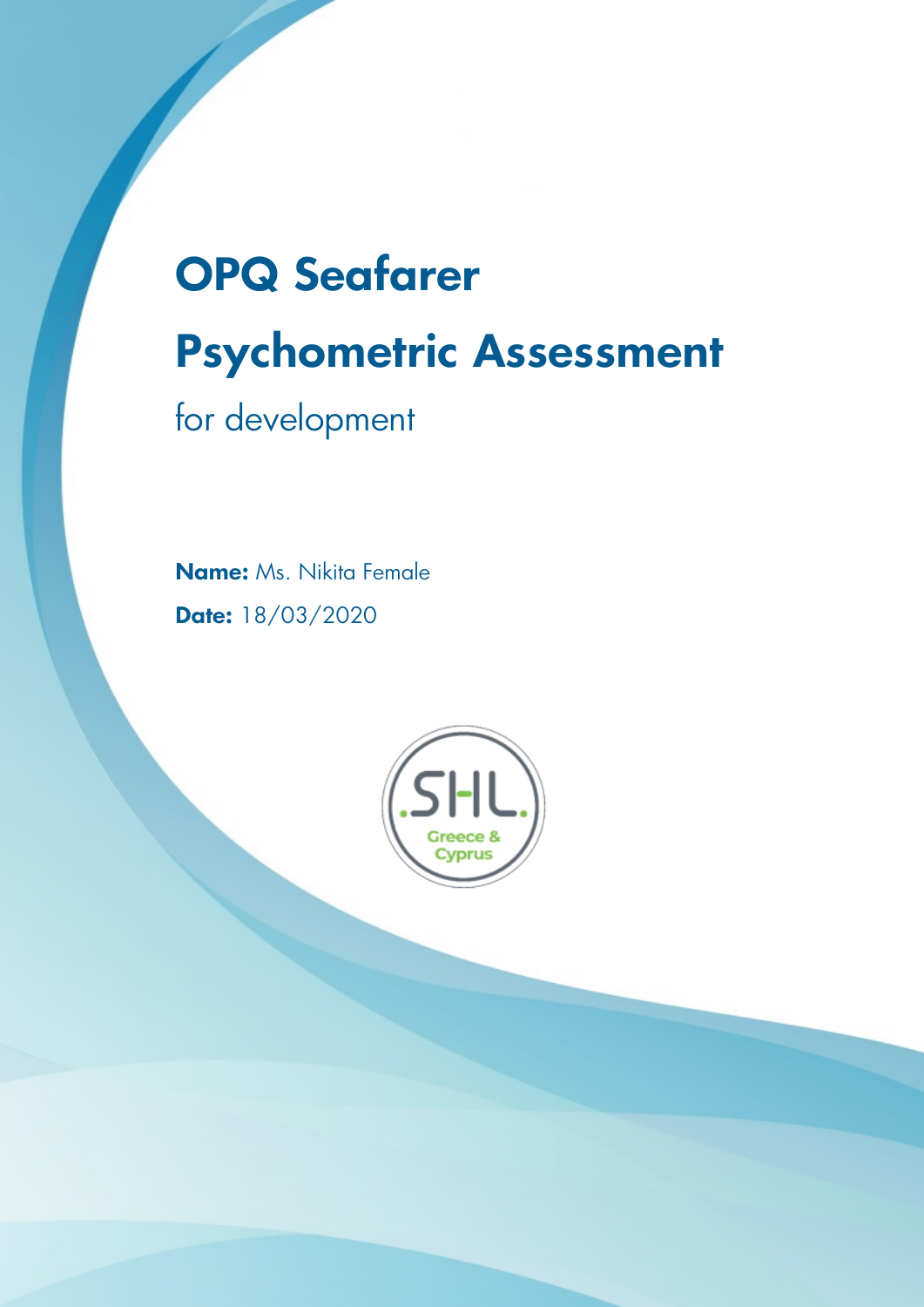# **OPQ Seafarer Psychometric Assessment**

for development

**Name:** Ms. Nikita Female **Date:** 18/03/2020

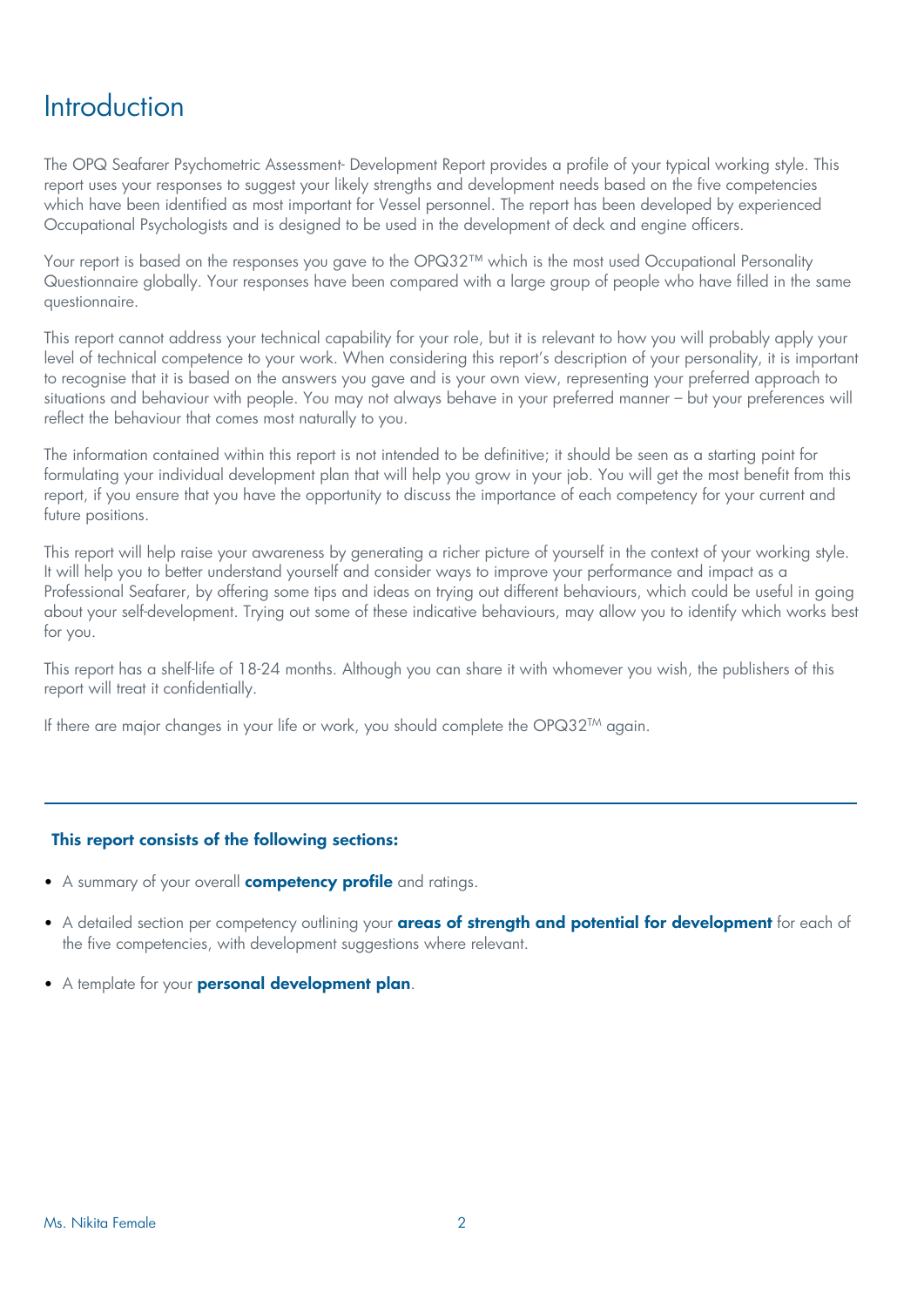### **Introduction**

The OPQ Seafarer Psychometric Assessment- Development Report provides a profile of your typical working style. This report uses your responses to suggest your likely strengths and development needs based on the five competencies which have been identified as most important for Vessel personnel. The report has been developed by experienced Occupational Psychologists and is designed to be used in the development of deck and engine officers.

Your report is based on the responses you gave to the OPQ32™ which is the most used Occupational Personality Questionnaire globally. Your responses have been compared with a large group of people who have filled in the same questionnaire.

This report cannot address your technical capability for your role, but it is relevant to how you will probably apply your level of technical competence to your work. When considering this report's description of your personality, it is important to recognise that it is based on the answers you gave and is your own view, representing your preferred approach to situations and behaviour with people. You may not always behave in your preferred manner – but your preferences will reflect the behaviour that comes most naturally to you.

The information contained within this report is not intended to be definitive; it should be seen as a starting point for formulating your individual development plan that will help you grow in your job. You will get the most benefit from this report, if you ensure that you have the opportunity to discuss the importance of each competency for your current and future positions.

This report will help raise your awareness by generating a richer picture of yourself in the context of your working style. It will help you to better understand yourself and consider ways to improve your performance and impact as a Professional Seafarer, by offering some tips and ideas on trying out different behaviours, which could be useful in going about your self-development. Trying out some of these indicative behaviours, may allow you to identify which works best for you.

This report has a shelf-life of 18-24 months. Although you can share it with whomever you wish, the publishers of this report will treat it confidentially.

If there are major changes in your life or work, you should complete the OPQ32<sup>TM</sup> again.

#### **This report consists of the following sections:**

- A summary of your overall **competency profile** and ratings.
- A detailed section per competency outlining your **areas of strength and potential for development** for each of the five competencies, with development suggestions where relevant.
- A template for your **personal development plan**.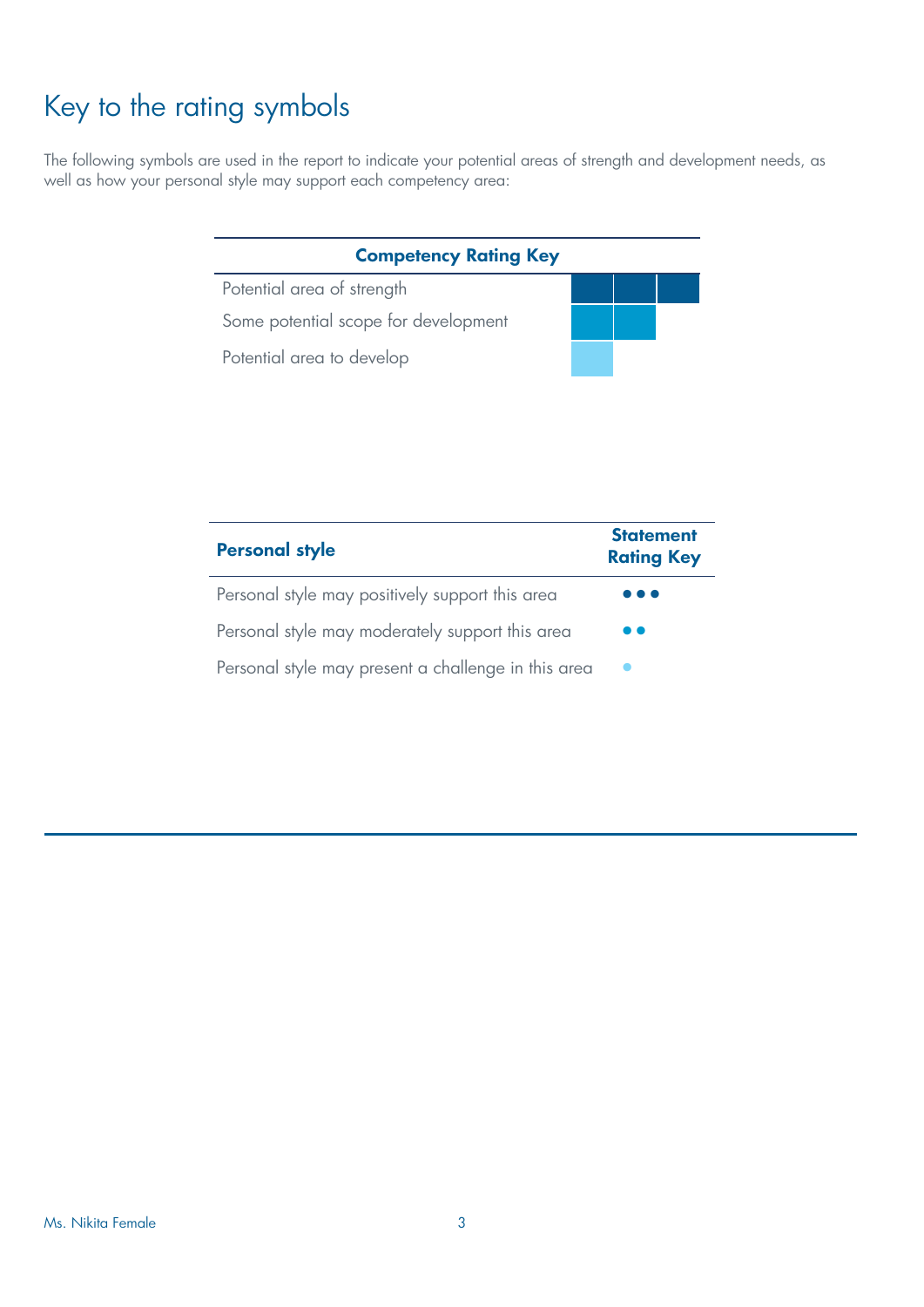# Key to the rating symbols

The following symbols are used in the report to indicate your potential areas of strength and development needs, as well as how your personal style may support each competency area:

#### **Competency Rating Key**

Potential area of strength Some potential scope for development Potential area to develop

| <b>Personal style</b>                               | <b>Statement</b><br><b>Rating Key</b> |
|-----------------------------------------------------|---------------------------------------|
| Personal style may positively support this area     | . .                                   |
| Personal style may moderately support this area     |                                       |
| Personal style may present a challenge in this area |                                       |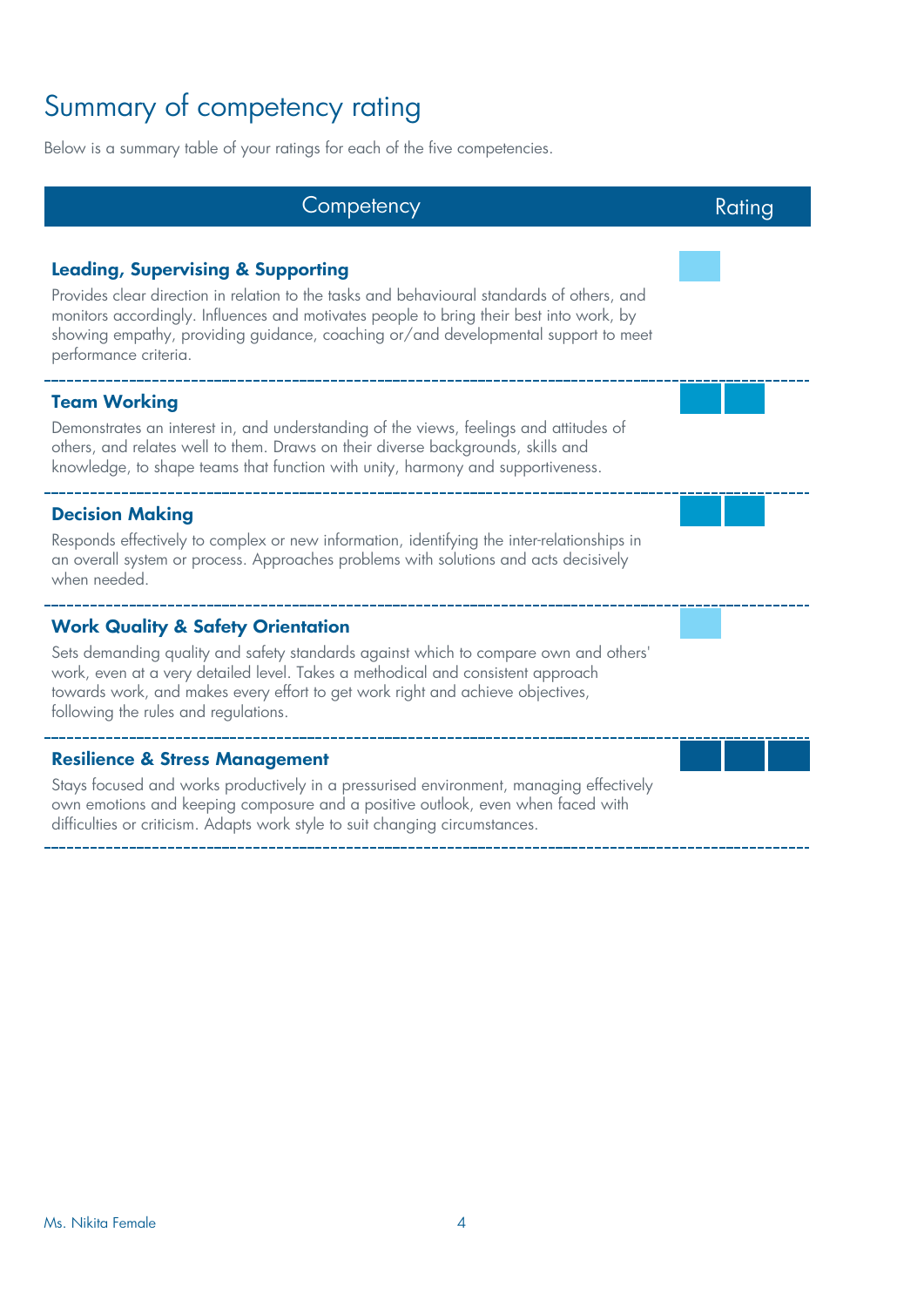# Summary of competency rating

Below is a summary table of your ratings for each of the five competencies.

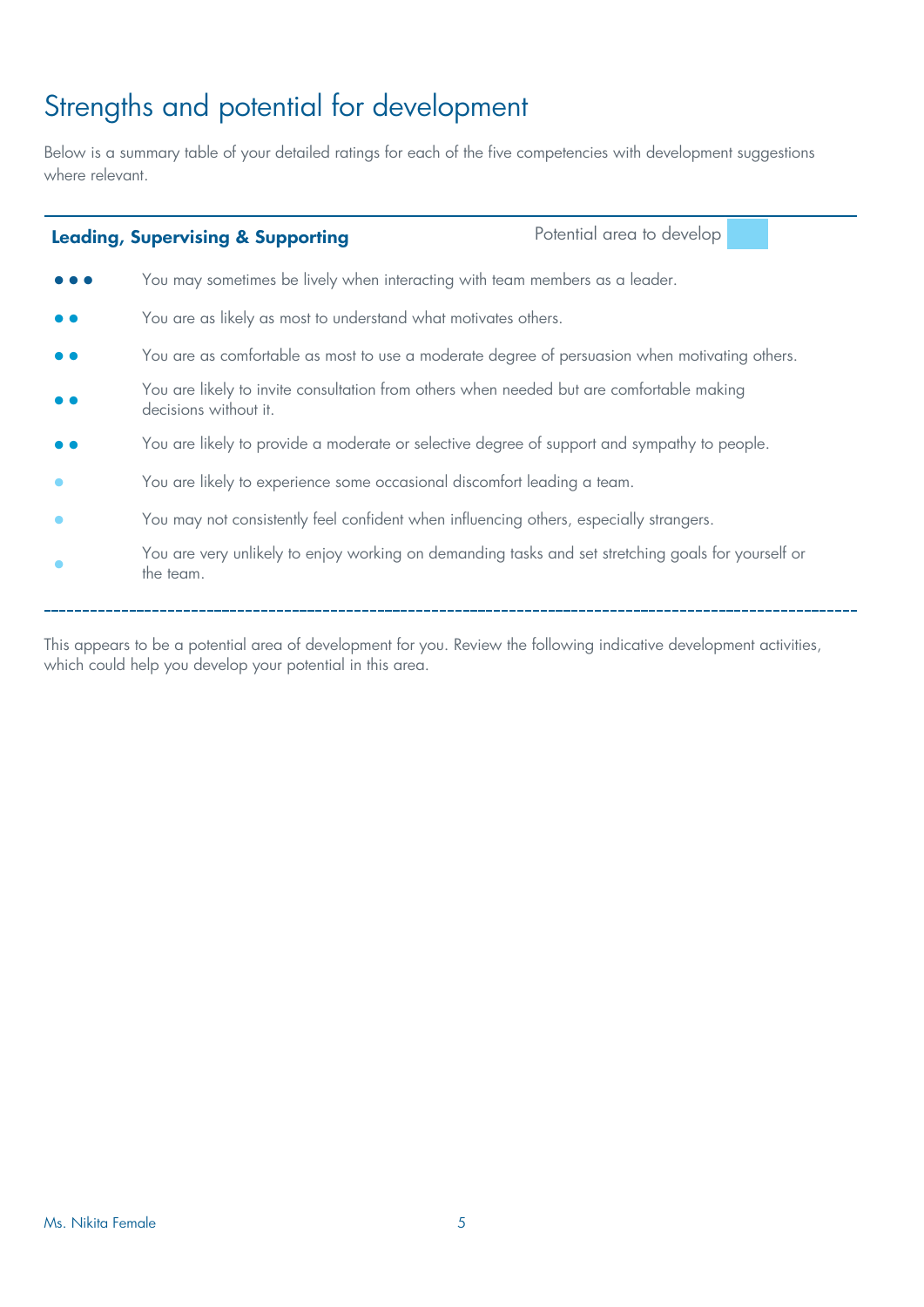# Strengths and potential for development

Below is a summary table of your detailed ratings for each of the five competencies with development suggestions where relevant.

| <b>Leading, Supervising &amp; Supporting</b>                                                                      | Potential area to develop |  |
|-------------------------------------------------------------------------------------------------------------------|---------------------------|--|
| You may sometimes be lively when interacting with team members as a leader.                                       |                           |  |
| You are as likely as most to understand what motivates others.                                                    |                           |  |
| You are as comfortable as most to use a moderate degree of persuasion when motivating others.                     |                           |  |
| You are likely to invite consultation from others when needed but are comfortable making<br>decisions without it. |                           |  |
| You are likely to provide a moderate or selective degree of support and sympathy to people.                       |                           |  |
| You are likely to experience some occasional discomfort leading a team.                                           |                           |  |
| You may not consistently feel confident when influencing others, especially strangers.                            |                           |  |
| You are very unlikely to enjoy working on demanding tasks and set stretching goals for yourself or<br>the team.   |                           |  |
|                                                                                                                   |                           |  |

This appears to be a potential area of development for you. Review the following indicative development activities, which could help you develop your potential in this area.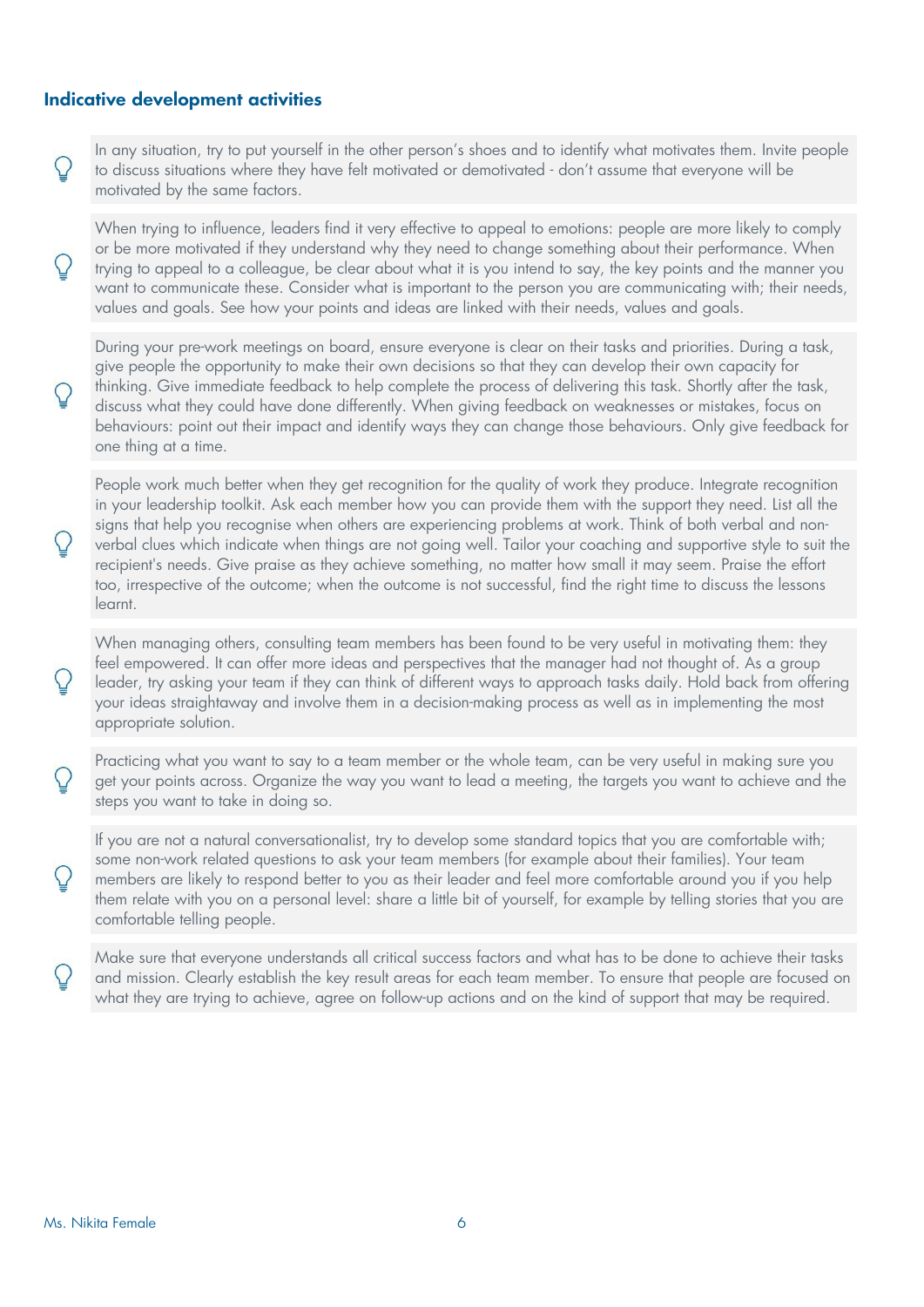#### **Indicative development activities**

In any situation, try to put yourself in the other person's shoes and to identify what motivates them. Invite people to discuss situations where they have felt motivated or demotivated - don't assume that everyone will be motivated by the same factors.

When trying to influence, leaders find it very effective to appeal to emotions: people are more likely to comply or be more motivated if they understand why they need to change something about their performance. When trying to appeal to a colleague, be clear about what it is you intend to say, the key points and the manner you want to communicate these. Consider what is important to the person you are communicating with; their needs, values and goals. See how your points and ideas are linked with their needs, values and goals.

During your pre-work meetings on board, ensure everyone is clear on their tasks and priorities. During a task, give people the opportunity to make their own decisions so that they can develop their own capacity for thinking. Give immediate feedback to help complete the process of delivering this task. Shortly after the task, discuss what they could have done differently. When giving feedback on weaknesses or mistakes, focus on behaviours: point out their impact and identify ways they can change those behaviours. Only give feedback for one thing at a time.

People work much better when they get recognition for the quality of work they produce. Integrate recognition in your leadership toolkit. Ask each member how you can provide them with the support they need. List all the signs that help you recognise when others are experiencing problems at work. Think of both verbal and nonverbal clues which indicate when things are not going well. Tailor your coaching and supportive style to suit the recipient's needs. Give praise as they achieve something, no matter how small it may seem. Praise the effort too, irrespective of the outcome; when the outcome is not successful, find the right time to discuss the lessons learnt.

When managing others, consulting team members has been found to be very useful in motivating them: they feel empowered. It can offer more ideas and perspectives that the manager had not thought of. As a group leader, try asking your team if they can think of different ways to approach tasks daily. Hold back from offering your ideas straightaway and involve them in a decision-making process as well as in implementing the most appropriate solution.

Practicing what you want to say to a team member or the whole team, can be very useful in making sure you get your points across. Organize the way you want to lead a meeting, the targets you want to achieve and the steps you want to take in doing so.

If you are not a natural conversationalist, try to develop some standard topics that you are comfortable with; some non-work related questions to ask your team members (for example about their families). Your team members are likely to respond better to you as their leader and feel more comfortable around you if you help them relate with you on a personal level: share a little bit of yourself, for example by telling stories that you are comfortable telling people.

Make sure that everyone understands all critical success factors and what has to be done to achieve their tasks and mission. Clearly establish the key result areas for each team member. To ensure that people are focused on what they are trying to achieve, agree on follow-up actions and on the kind of support that may be required.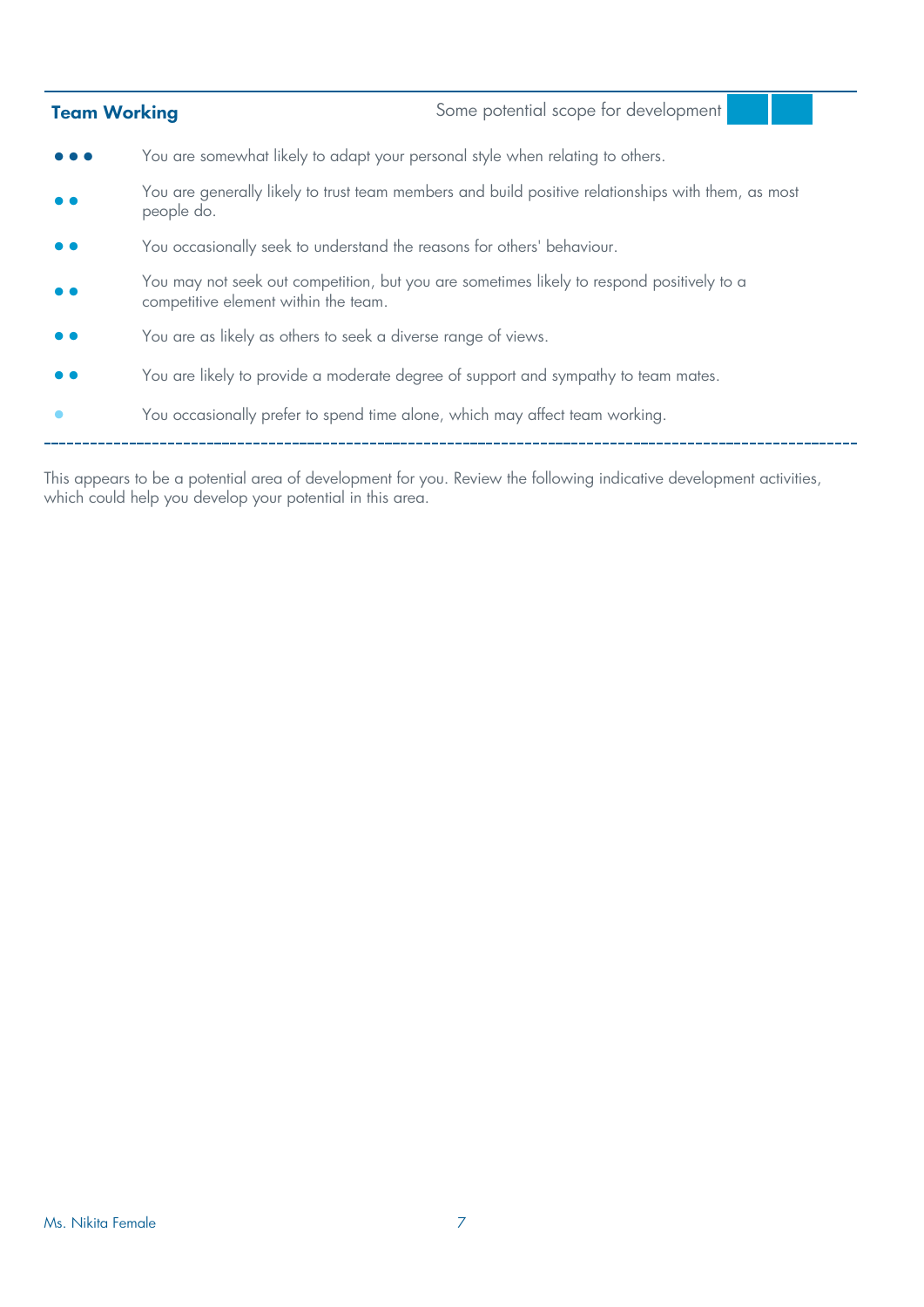| <b>Team Working</b> |                                                                               | Some potential scope for development                                                               |
|---------------------|-------------------------------------------------------------------------------|----------------------------------------------------------------------------------------------------|
|                     | You are somewhat likely to adapt your personal style when relating to others. |                                                                                                    |
|                     | people do.                                                                    | You are generally likely to trust team members and build positive relationships with them, as most |
|                     | You occasionally seek to understand the reasons for others' behaviour.        |                                                                                                    |
|                     | competitive element within the team.                                          | You may not seek out competition, but you are sometimes likely to respond positively to a          |
|                     | You are as likely as others to seek a diverse range of views.                 |                                                                                                    |
|                     |                                                                               | You are likely to provide a moderate degree of support and sympathy to team mates.                 |
|                     | You occasionally prefer to spend time alone, which may affect team working.   |                                                                                                    |

This appears to be a potential area of development for you. Review the following indicative development activities, which could help you develop your potential in this area.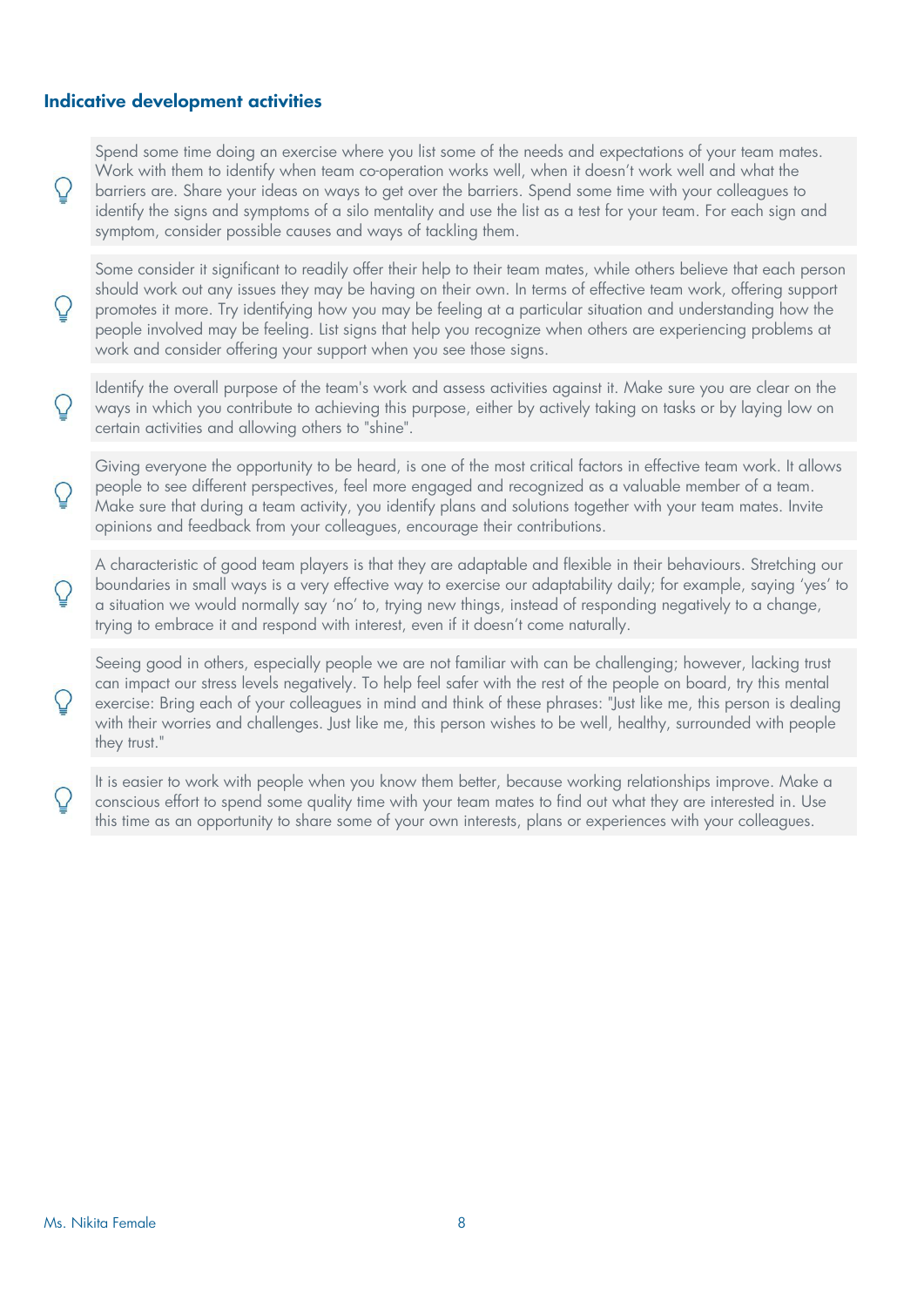#### **Indicative development activities**

Spend some time doing an exercise where you list some of the needs and expectations of your team mates. Work with them to identify when team co-operation works well, when it doesn't work well and what the barriers are. Share your ideas on ways to get over the barriers. Spend some time with your colleagues to identify the signs and symptoms of a silo mentality and use the list as a test for your team. For each sign and symptom, consider possible causes and ways of tackling them.

Some consider it significant to readily offer their help to their team mates, while others believe that each person should work out any issues they may be having on their own. In terms of effective team work, offering support promotes it more. Try identifying how you may be feeling at a particular situation and understanding how the people involved may be feeling. List signs that help you recognize when others are experiencing problems at work and consider offering your support when you see those signs.

Identify the overall purpose of the team's work and assess activities against it. Make sure you are clear on the ways in which you contribute to achieving this purpose, either by actively taking on tasks or by laying low on certain activities and allowing others to "shine".

Giving everyone the opportunity to be heard, is one of the most critical factors in effective team work. It allows people to see different perspectives, feel more engaged and recognized as a valuable member of a team. Make sure that during a team activity, you identify plans and solutions together with your team mates. Invite opinions and feedback from your colleagues, encourage their contributions.

A characteristic of good team players is that they are adaptable and flexible in their behaviours. Stretching our boundaries in small ways is a very effective way to exercise our adaptability daily; for example, saying 'yes' to a situation we would normally say 'no' to, trying new things, instead of responding negatively to a change, trying to embrace it and respond with interest, even if it doesn't come naturally.

Seeing good in others, especially people we are not familiar with can be challenging; however, lacking trust can impact our stress levels negatively. To help feel safer with the rest of the people on board, try this mental exercise: Bring each of your colleagues in mind and think of these phrases: "Just like me, this person is dealing with their worries and challenges. Just like me, this person wishes to be well, healthy, surrounded with people they trust."

It is easier to work with people when you know them better, because working relationships improve. Make a conscious effort to spend some quality time with your team mates to find out what they are interested in. Use this time as an opportunity to share some of your own interests, plans or experiences with your colleagues.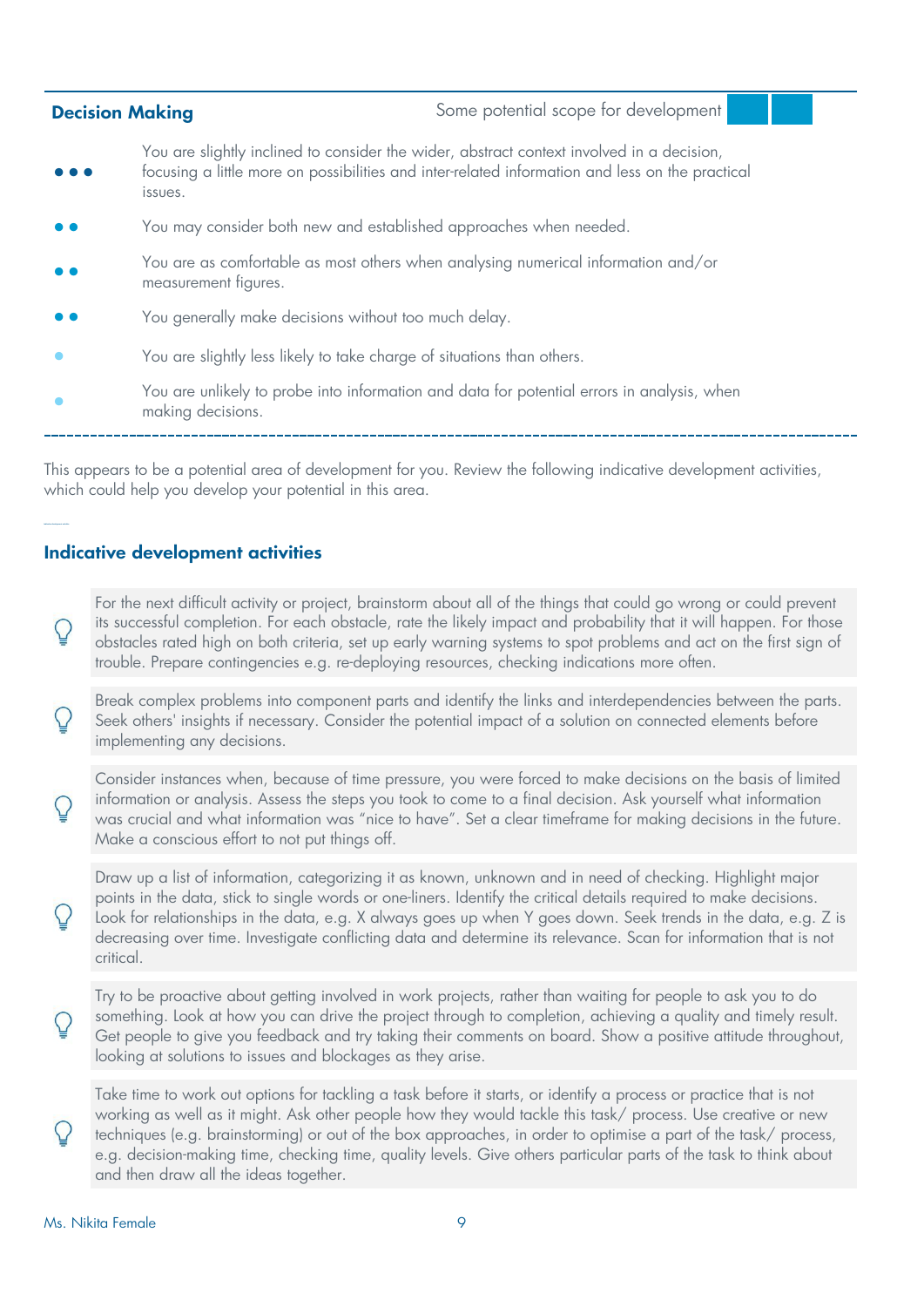| Some potential scope for development<br><b>Decision Making</b>         |                                                                                                                                                                                              |
|------------------------------------------------------------------------|----------------------------------------------------------------------------------------------------------------------------------------------------------------------------------------------|
| issues.                                                                | You are slightly inclined to consider the wider, abstract context involved in a decision,<br>focusing a little more on possibilities and inter-related information and less on the practical |
| You may consider both new and established approaches when needed.      |                                                                                                                                                                                              |
| measurement figures.                                                   | You are as comfortable as most others when analysing numerical information and/or                                                                                                            |
| You generally make decisions without too much delay.                   |                                                                                                                                                                                              |
| You are slightly less likely to take charge of situations than others. |                                                                                                                                                                                              |
| making decisions.                                                      | You are unlikely to probe into information and data for potential errors in analysis, when                                                                                                   |

This appears to be a potential area of development for you. Review the following indicative development activities, which could help you develop your potential in this area.

#### **Indicative development activities**

For the next difficult activity or project, brainstorm about all of the things that could go wrong or could prevent its successful completion. For each obstacle, rate the likely impact and probability that it will happen. For those obstacles rated high on both criteria, set up early warning systems to spot problems and act on the first sign of trouble. Prepare contingencies e.g. re-deploying resources, checking indications more often.

Break complex problems into component parts and identify the links and interdependencies between the parts. Seek others' insights if necessary. Consider the potential impact of a solution on connected elements before implementing any decisions.

Consider instances when, because of time pressure, you were forced to make decisions on the basis of limited information or analysis. Assess the steps you took to come to a final decision. Ask yourself what information was crucial and what information was "nice to have". Set a clear timeframe for making decisions in the future. Make a conscious effort to not put things off.

Draw up a list of information, categorizing it as known, unknown and in need of checking. Highlight major points in the data, stick to single words or one-liners. Identify the critical details required to make decisions. Look for relationships in the data, e.g. X always goes up when Y goes down. Seek trends in the data, e.g. Z is decreasing over time. Investigate conflicting data and determine its relevance. Scan for information that is not critical.

Try to be proactive about getting involved in work projects, rather than waiting for people to ask you to do something. Look at how you can drive the project through to completion, achieving a quality and timely result. Get people to give you feedback and try taking their comments on board. Show a positive attitude throughout, looking at solutions to issues and blockages as they arise.

Take time to work out options for tackling a task before it starts, or identify a process or practice that is not working as well as it might. Ask other people how they would tackle this task/ process. Use creative or new techniques (e.g. brainstorming) or out of the box approaches, in order to optimise a part of the task/ process, e.g. decision-making time, checking time, quality levels. Give others particular parts of the task to think about and then draw all the ideas together.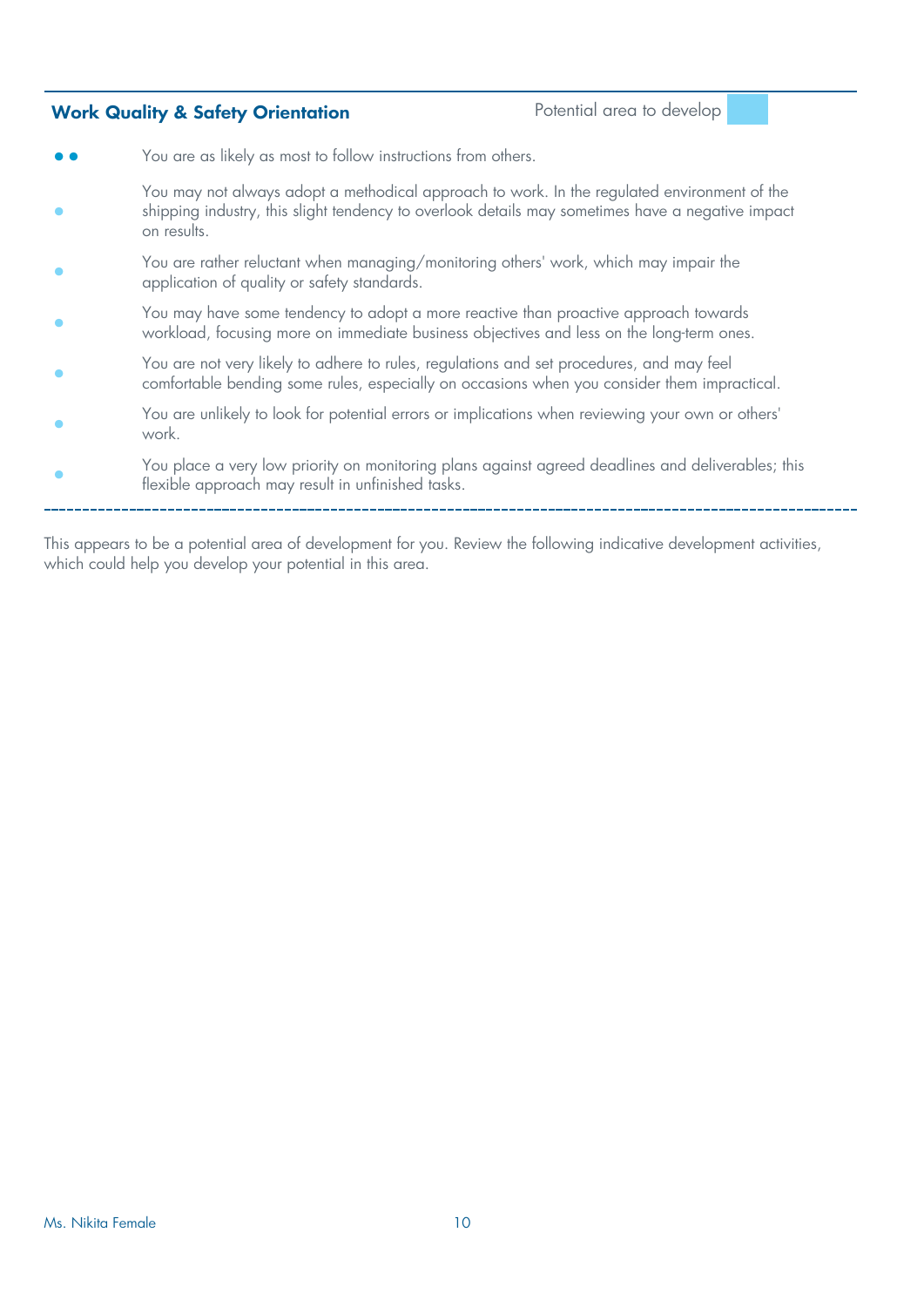#### **Work Quality & Safety Orientation Potential area to develop**

- **••** You are as likely as most to follow instructions from others.
- **•** You may not always adopt a methodical approach to work. In the regulated environment of the shipping industry, this slight tendency to overlook details may sometimes have a negative impact on results.
- **•** You are rather reluctant when managing/monitoring others' work, which may impair the application of quality or safety standards.
- **•** You may have some tendency to adopt a more reactive than proactive approach towards workload, focusing more on immediate business objectives and less on the long-term ones.
- **•** You are not very likely to adhere to rules, regulations and set procedures, and may feel comfortable bending some rules, especially on occasions when you consider them impractical.
- **•** You are unlikely to look for potential errors or implications when reviewing your own or others' work.
- **•** You place a very low priority on monitoring plans against agreed deadlines and deliverables; this flexible approach may result in unfinished tasks.

This appears to be a potential area of development for you. Review the following indicative development activities, which could help you develop your potential in this area.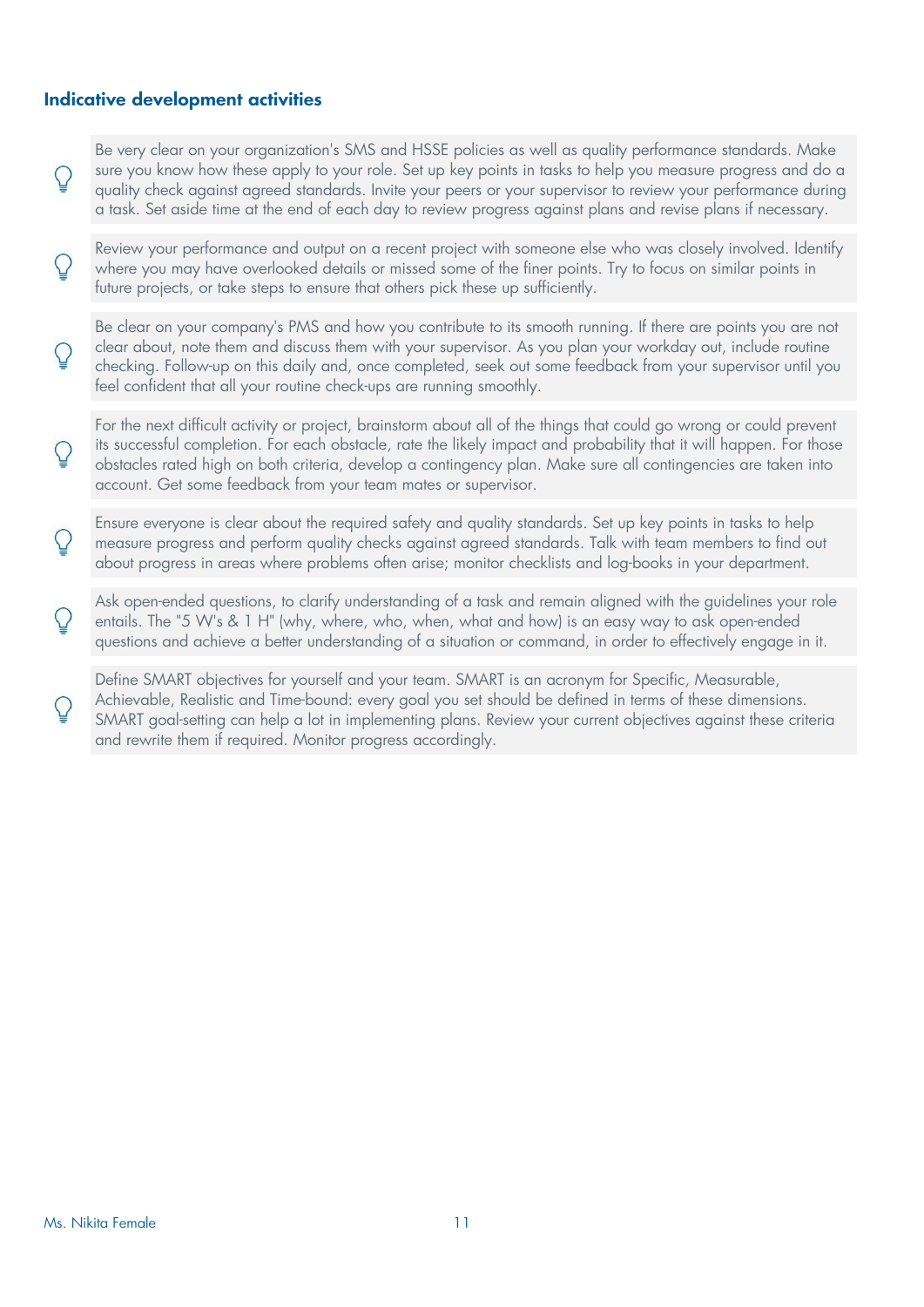#### **Indicative development activities**

Βe very clear on your organization's SMS and HSSE policies as well as quality performance standards. Make sure you know how these apply to your role. Set up key points in tasks to help you measure progress and do a quality check against agreed standards. Invite your peers or your supervisor to review your performance during a task. Set aside time at the end of each day to review progress against plans and revise plans if necessary.

Review your performance and output on a recent project with someone else who was closely involved. Identify where you may have overlooked details or missed some of the finer points. Try to focus on similar points in future projects, or take steps to ensure that others pick these up sufficiently.

Be clear on your company's PMS and how you contribute to its smooth running. If there are points you are not clear about, note them and discuss them with your supervisor. As you plan your workday out, include routine checking. Follow-up on this daily and, once completed, seek out some feedback from your supervisor until you feel confident that all your routine check-ups are running smoothly.

For the next difficult activity or project, brainstorm about all of the things that could go wrong or could prevent its successful completion. For each obstacle, rate the likely impact and probability that it will happen. For those obstacles rated high on both criteria, develop a contingency plan. Make sure all contingencies are taken into account. Get some feedback from your team mates or supervisor.

Ensure everyone is clear about the required safety and quality standards. Set up key points in tasks to help measure progress and perform quality checks against agreed standards. Talk with team members to find out about progress in areas where problems often arise; monitor checklists and log-books in your department.

Ask open-ended questions, to clarify understanding of a task and remain aligned with the guidelines your role entails. The "5 W's & 1 H" (why, where, who, when, what and how) is an easy way to ask open-ended questions and achieve a better understanding of a situation or command, in order to effectively engage in it.

Define SMART objectives for yourself and your team. SMART is an acronym for Specific, Measurable, Achievable, Realistic and Time-bound: every goal you set should be defined in terms of these dimensions. SMART goal-setting can help a lot in implementing plans. Review your current objectives against these criteria and rewrite them if required. Monitor progress accordingly.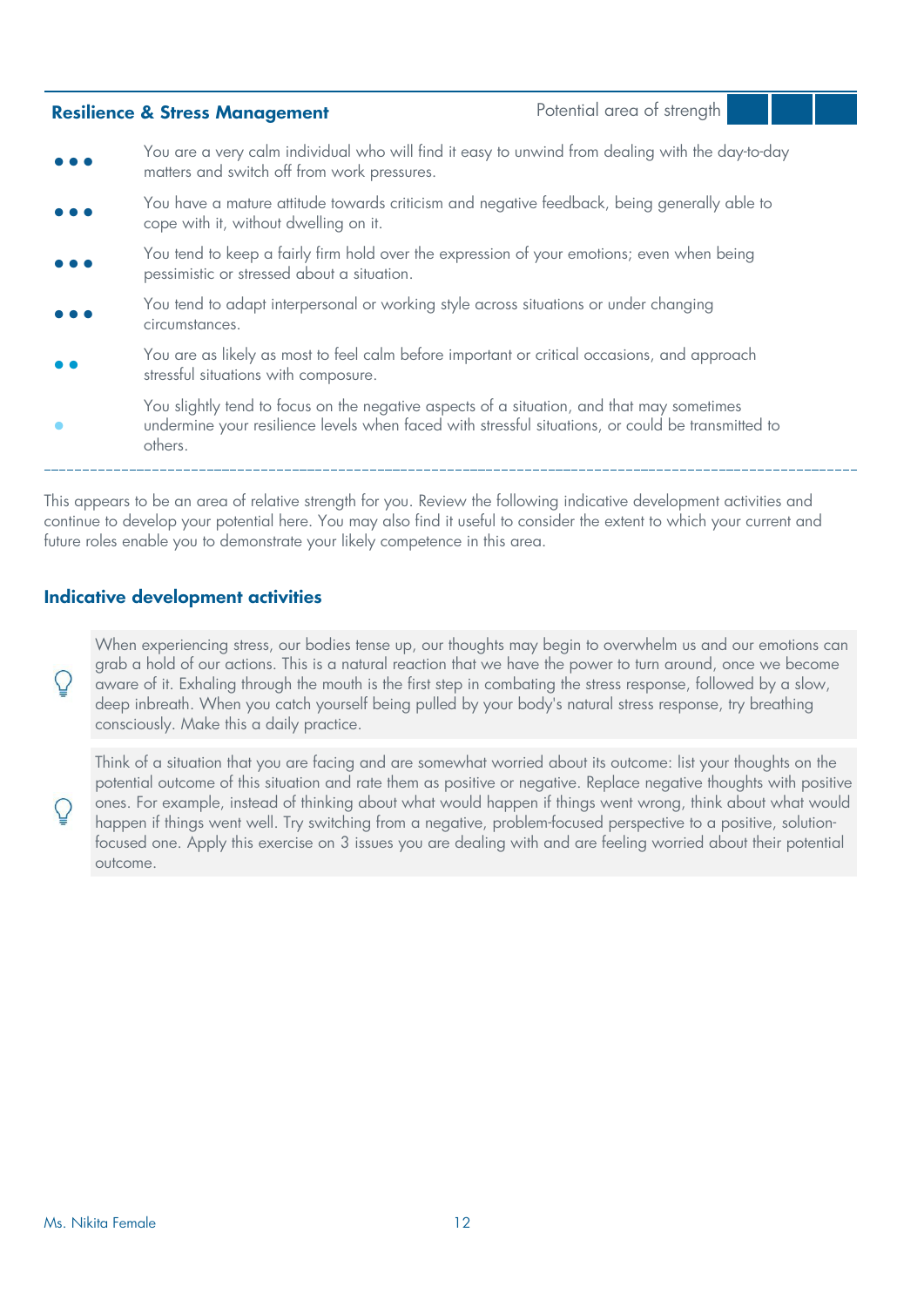| <b>Resilience &amp; Stress Management</b>                                                                                                                                                                 | Potential area of strength |  |
|-----------------------------------------------------------------------------------------------------------------------------------------------------------------------------------------------------------|----------------------------|--|
| You are a very calm individual who will find it easy to unwind from dealing with the day-to-day<br>matters and switch off from work pressures.                                                            |                            |  |
| You have a mature attitude towards criticism and negative feedback, being generally able to<br>cope with it, without dwelling on it.                                                                      |                            |  |
| You tend to keep a fairly firm hold over the expression of your emotions; even when being<br>pessimistic or stressed about a situation.                                                                   |                            |  |
| You tend to adapt interpersonal or working style across situations or under changing<br>circumstances.                                                                                                    |                            |  |
| You are as likely as most to feel calm before important or critical occasions, and approach<br>stressful situations with composure.                                                                       |                            |  |
| You slightly tend to focus on the negative aspects of a situation, and that may sometimes<br>undermine your resilience levels when faced with stressful situations, or could be transmitted to<br>others. |                            |  |
|                                                                                                                                                                                                           |                            |  |

This appears to be an area of relative strength for you. Review the following indicative development activities and continue to develop your potential here. You may also find it useful to consider the extent to which your current and future roles enable you to demonstrate your likely competence in this area.

#### **Indicative development activities**

When experiencing stress, our bodies tense up, our thoughts may begin to overwhelm us and our emotions can grab a hold of our actions. This is a natural reaction that we have the power to turn around, once we become aware of it. Exhaling through the mouth is the first step in combating the stress response, followed by a slow, deep inbreath. When you catch yourself being pulled by your body's natural stress response, try breathing consciously. Make this a daily practice.

Think of a situation that you are facing and are somewhat worried about its outcome: list your thoughts on the potential outcome of this situation and rate them as positive or negative. Replace negative thoughts with positive ones. For example, instead of thinking about what would happen if things went wrong, think about what would happen if things went well. Try switching from a negative, problem-focused perspective to a positive, solutionfocused one. Apply this exercise on 3 issues you are dealing with and are feeling worried about their potential outcome.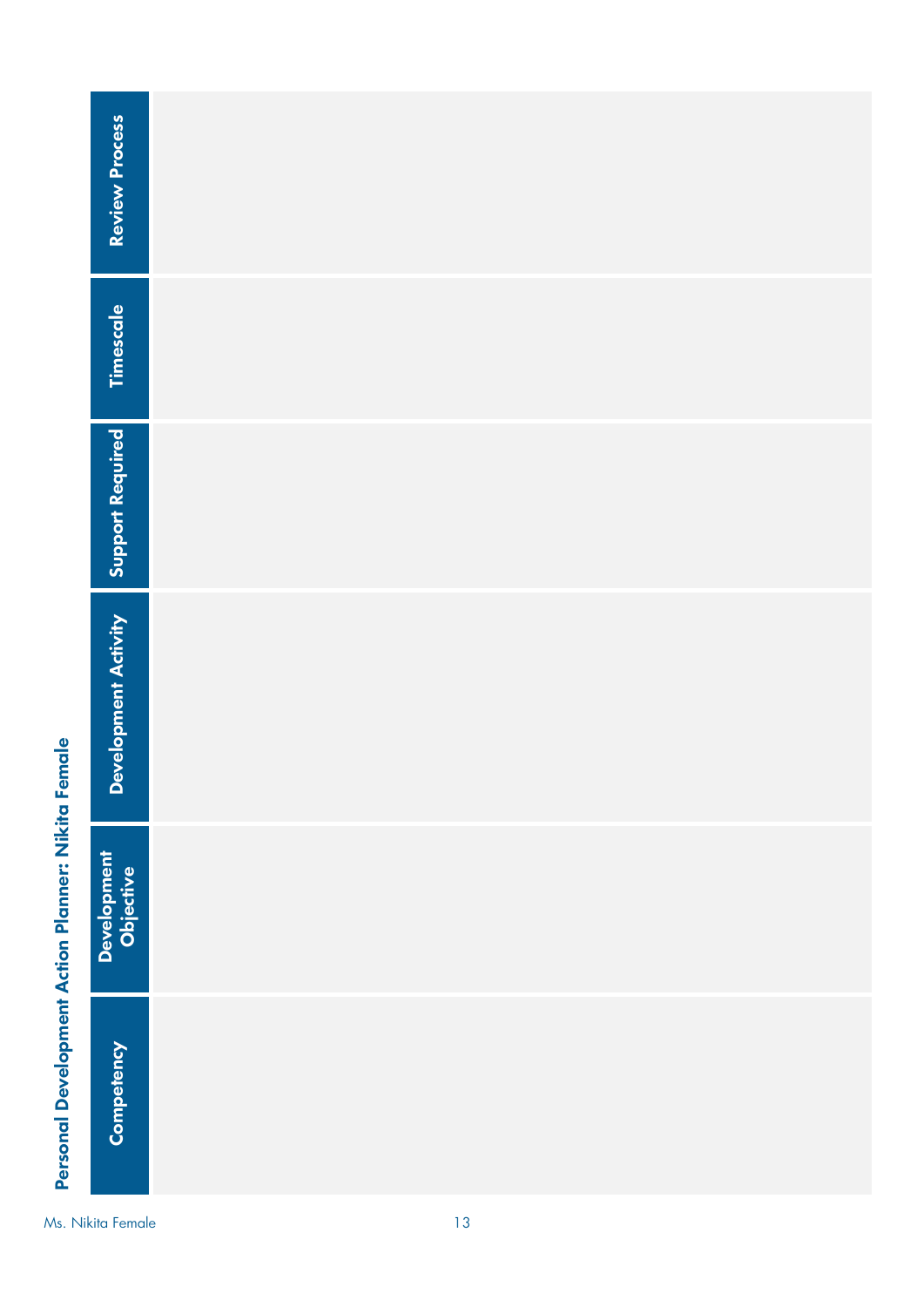|                                                    | <b>Review Process</b>    |    |
|----------------------------------------------------|--------------------------|----|
|                                                    | Timescale                |    |
|                                                    | <b>Support Required</b>  |    |
|                                                    | Development Activity     |    |
|                                                    | Development<br>Objective |    |
| Personal Development Action Planner: Nikita Female | Competency               |    |
|                                                    | Ms. Nikita Female        | 13 |